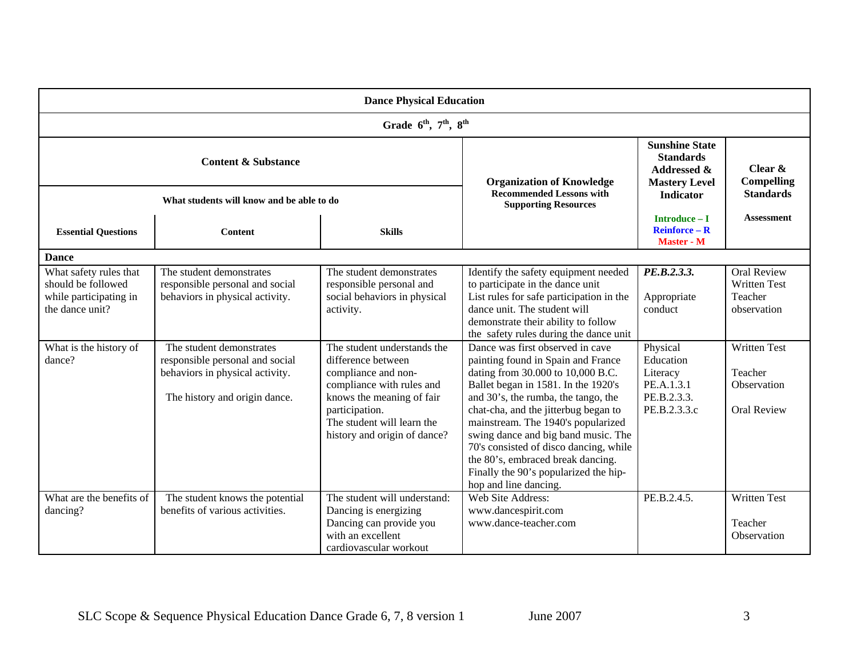| <b>Dance Physical Education</b>                                                           |                                                                                                                                 |                                                                                                                                                                                                                    |                                                                                                                                                                                                                                                                                                                                                                                                                                                                 |                                                                                             |                                                                     |  |  |  |  |
|-------------------------------------------------------------------------------------------|---------------------------------------------------------------------------------------------------------------------------------|--------------------------------------------------------------------------------------------------------------------------------------------------------------------------------------------------------------------|-----------------------------------------------------------------------------------------------------------------------------------------------------------------------------------------------------------------------------------------------------------------------------------------------------------------------------------------------------------------------------------------------------------------------------------------------------------------|---------------------------------------------------------------------------------------------|---------------------------------------------------------------------|--|--|--|--|
| Grade 6 <sup>th</sup> , 7 <sup>th</sup> , 8 <sup>th</sup>                                 |                                                                                                                                 |                                                                                                                                                                                                                    |                                                                                                                                                                                                                                                                                                                                                                                                                                                                 |                                                                                             |                                                                     |  |  |  |  |
| <b>Content &amp; Substance</b>                                                            |                                                                                                                                 |                                                                                                                                                                                                                    | <b>Organization of Knowledge</b><br><b>Recommended Lessons with</b><br><b>Supporting Resources</b>                                                                                                                                                                                                                                                                                                                                                              | <b>Sunshine State</b><br><b>Standards</b><br><b>Addressed &amp;</b><br><b>Mastery Level</b> | Clear $\&$<br><b>Compelling</b>                                     |  |  |  |  |
| What students will know and be able to do                                                 |                                                                                                                                 |                                                                                                                                                                                                                    |                                                                                                                                                                                                                                                                                                                                                                                                                                                                 | <b>Indicator</b>                                                                            | <b>Standards</b>                                                    |  |  |  |  |
| <b>Essential Questions</b>                                                                | <b>Content</b>                                                                                                                  | <b>Skills</b>                                                                                                                                                                                                      |                                                                                                                                                                                                                                                                                                                                                                                                                                                                 | Introduce - I<br><b>Reinforce - R</b><br>Master - M                                         | <b>Assessment</b>                                                   |  |  |  |  |
| <b>Dance</b>                                                                              |                                                                                                                                 |                                                                                                                                                                                                                    |                                                                                                                                                                                                                                                                                                                                                                                                                                                                 |                                                                                             |                                                                     |  |  |  |  |
| What safety rules that<br>should be followed<br>while participating in<br>the dance unit? | The student demonstrates<br>responsible personal and social<br>behaviors in physical activity.                                  | The student demonstrates<br>responsible personal and<br>social behaviors in physical<br>activity.                                                                                                                  | Identify the safety equipment needed<br>to participate in the dance unit<br>List rules for safe participation in the<br>dance unit. The student will<br>demonstrate their ability to follow<br>the safety rules during the dance unit                                                                                                                                                                                                                           | PE.B.2.3.3.<br>Appropriate<br>conduct                                                       | Oral Review<br><b>Written Test</b><br>Teacher<br>observation        |  |  |  |  |
| What is the history of<br>dance?                                                          | The student demonstrates<br>responsible personal and social<br>behaviors in physical activity.<br>The history and origin dance. | The student understands the<br>difference between<br>compliance and non-<br>compliance with rules and<br>knows the meaning of fair<br>participation.<br>The student will learn the<br>history and origin of dance? | Dance was first observed in cave<br>painting found in Spain and France<br>dating from 30.000 to 10,000 B.C.<br>Ballet began in 1581. In the 1920's<br>and 30's, the rumba, the tango, the<br>chat-cha, and the jitterbug began to<br>mainstream. The 1940's popularized<br>swing dance and big band music. The<br>70's consisted of disco dancing, while<br>the 80's, embraced break dancing.<br>Finally the 90's popularized the hip-<br>hop and line dancing. | Physical<br>Education<br>Literacy<br>PE.A.1.3.1<br>PE.B.2.3.3.<br>PE.B.2.3.3.c              | <b>Written Test</b><br>Teacher<br>Observation<br><b>Oral Review</b> |  |  |  |  |
| What are the benefits of<br>dancing?                                                      | The student knows the potential<br>benefits of various activities.                                                              | The student will understand:<br>Dancing is energizing<br>Dancing can provide you<br>with an excellent<br>cardiovascular workout                                                                                    | Web Site Address:<br>www.dancespirit.com<br>www.dance-teacher.com                                                                                                                                                                                                                                                                                                                                                                                               | PE.B.2.4.5.                                                                                 | <b>Written Test</b><br>Teacher<br>Observation                       |  |  |  |  |